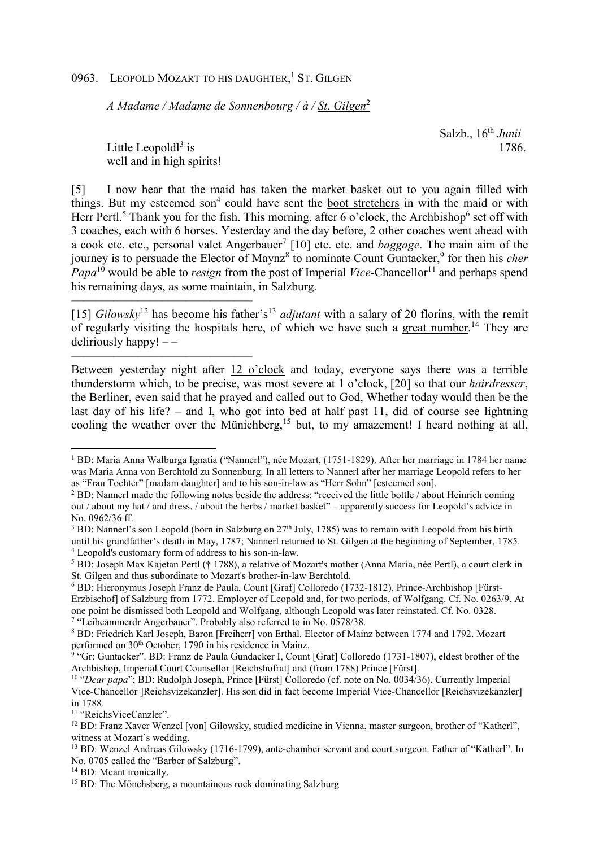## 0963. LEOPOLD MOZART TO HIS DAUGHTER,<sup>1</sup> ST. GILGEN

*A Madame / Madame de Sonnenbourg / à / St. Gilgen*<sup>2</sup>

 Salzb., 16th *Junii* is 1786.

Little Leopold $l^3$  is well and in high spirits!

––––––––––––––––––––––––––––––

––––––––––––––––––––––––––––––

[5] I now hear that the maid has taken the market basket out to you again filled with things. But my esteemed son<sup>4</sup> could have sent the boot stretchers in with the maid or with Herr Pertl.<sup>5</sup> Thank you for the fish. This morning, after 6 o'clock, the Archbishop<sup>6</sup> set off with 3 coaches, each with 6 horses. Yesterday and the day before, 2 other coaches went ahead with a cook etc. etc., personal valet Angerbauer<sup>7</sup> [10] etc. etc. and *baggage*. The main aim of the journey is to persuade the Elector of Maynz<sup>8</sup> to nominate Count **Guntacker**,<sup>9</sup> for then his *cher Papa*<sup>10</sup> would be able to *resign* from the post of Imperial *Vice*-Chancellor<sup>11</sup> and perhaps spend his remaining days, as some maintain, in Salzburg.

[15] *Gilowsky*<sup>12</sup> has become his father's<sup>13</sup> *adjutant* with a salary of 20 florins, with the remit of regularly visiting the hospitals here, of which we have such a great number.<sup>14</sup> They are deliriously happy!  $-$ 

Between yesterday night after 12 o'clock and today, everyone says there was a terrible thunderstorm which, to be precise, was most severe at 1 o'clock, [20] so that our *hairdresser*, the Berliner, even said that he prayed and called out to God, Whether today would then be the last day of his life? – and I, who got into bed at half past 11, did of course see lightning cooling the weather over the Münichberg,<sup>15</sup> but, to my amazement! I heard nothing at all,

<sup>3</sup> BD: Nannerl's son Leopold (born in Salzburg on 27<sup>th</sup> July, 1785) was to remain with Leopold from his birth until his grandfather's death in May, 1787; Nannerl returned to St. Gilgen at the beginning of September, 1785. 4 Leopold's customary form of address to his son-in-law.

6 BD: Hieronymus Joseph Franz de Paula, Count [Graf] Colloredo (1732-1812), Prince-Archbishop [Fürst-Erzbischof] of Salzburg from 1772. Employer of Leopold and, for two periods, of Wolfgang. Cf. No. 0263/9. At one point he dismissed both Leopold and Wolfgang, although Leopold was later reinstated. Cf. No. 0328. <sup>7</sup> "Leibcammerdr Angerbauer". Probably also referred to in No. 0578/38.

<sup>11</sup> "ReichsViceCanzler".

 $\overline{a}$ 

<sup>14</sup> BD: Meant ironically.

<sup>1</sup> BD: Maria Anna Walburga Ignatia ("Nannerl"), née Mozart, (1751-1829). After her marriage in 1784 her name was Maria Anna von Berchtold zu Sonnenburg. In all letters to Nannerl after her marriage Leopold refers to her as "Frau Tochter" [madam daughter] and to his son-in-law as "Herr Sohn" [esteemed son].

<sup>&</sup>lt;sup>2</sup> BD: Nannerl made the following notes beside the address: "received the little bottle / about Heinrich coming out / about my hat / and dress. / about the herbs / market basket" – apparently success for Leopold's advice in No. 0962/36 ff.

<sup>&</sup>lt;sup>5</sup> BD: Joseph Max Kajetan Pertl († 1788), a relative of Mozart's mother (Anna Maria, née Pertl), a court clerk in St. Gilgen and thus subordinate to Mozart's brother-in-law Berchtold.

<sup>8</sup> BD: Friedrich Karl Joseph, Baron [Freiherr] von Erthal. Elector of Mainz between 1774 and 1792. Mozart performed on 30<sup>th</sup> October, 1790 in his residence in Mainz.

<sup>&</sup>lt;sup>9</sup> "Gr: Guntacker". BD: Franz de Paula Gundacker I, Count [Graf] Colloredo (1731-1807), eldest brother of the Archbishop, Imperial Court Counsellor [Reichshofrat] and (from 1788) Prince [Fürst].

<sup>10</sup> "*Dear papa*"; BD: Rudolph Joseph, Prince [Fürst] Colloredo (cf. note on No. 0034/36). Currently Imperial Vice-Chancellor ]Reichsvizekanzler]. His son did in fact become Imperial Vice-Chancellor [Reichsvizekanzler] in 1788.

<sup>12</sup> BD: Franz Xaver Wenzel [von] Gilowsky, studied medicine in Vienna, master surgeon, brother of "Katherl", witness at Mozart's wedding.

<sup>&</sup>lt;sup>13</sup> BD: Wenzel Andreas Gilowsky (1716-1799), ante-chamber servant and court surgeon. Father of "Katherl". In No. 0705 called the "Barber of Salzburg".

<sup>&</sup>lt;sup>15</sup> BD: The Mönchsberg, a mountainous rock dominating Salzburg